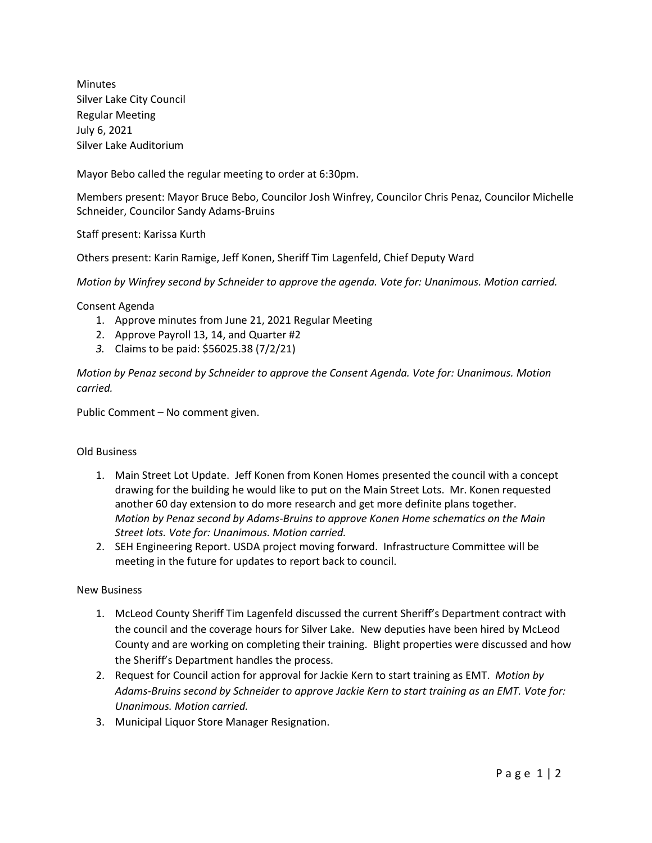Minutes Silver Lake City Council Regular Meeting July 6, 2021 Silver Lake Auditorium

Mayor Bebo called the regular meeting to order at 6:30pm.

Members present: Mayor Bruce Bebo, Councilor Josh Winfrey, Councilor Chris Penaz, Councilor Michelle Schneider, Councilor Sandy Adams-Bruins

Staff present: Karissa Kurth

Others present: Karin Ramige, Jeff Konen, Sheriff Tim Lagenfeld, Chief Deputy Ward

*Motion by Winfrey second by Schneider to approve the agenda. Vote for: Unanimous. Motion carried.*

Consent Agenda

- 1. Approve minutes from June 21, 2021 Regular Meeting
- 2. Approve Payroll 13, 14, and Quarter #2
- *3.* Claims to be paid: \$56025.38 (7/2/21)

*Motion by Penaz second by Schneider to approve the Consent Agenda. Vote for: Unanimous. Motion carried.*

Public Comment – No comment given.

## Old Business

- 1. Main Street Lot Update. Jeff Konen from Konen Homes presented the council with a concept drawing for the building he would like to put on the Main Street Lots. Mr. Konen requested another 60 day extension to do more research and get more definite plans together. *Motion by Penaz second by Adams-Bruins to approve Konen Home schematics on the Main Street lots. Vote for: Unanimous. Motion carried.*
- 2. SEH Engineering Report. USDA project moving forward. Infrastructure Committee will be meeting in the future for updates to report back to council.

## New Business

- 1. McLeod County Sheriff Tim Lagenfeld discussed the current Sheriff's Department contract with the council and the coverage hours for Silver Lake. New deputies have been hired by McLeod County and are working on completing their training. Blight properties were discussed and how the Sheriff's Department handles the process.
- 2. Request for Council action for approval for Jackie Kern to start training as EMT. *Motion by Adams-Bruins second by Schneider to approve Jackie Kern to start training as an EMT. Vote for: Unanimous. Motion carried.*
- 3. Municipal Liquor Store Manager Resignation.